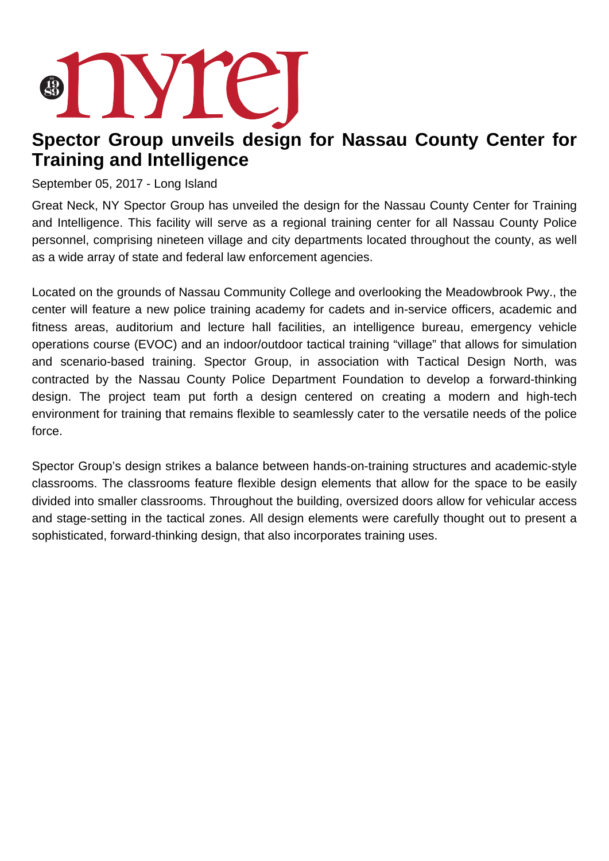## nyre

## **Spector Group unveils design for Nassau County Center for Training and Intelligence**

## September 05, 2017 - Long Island

Great Neck, NY Spector Group has unveiled the design for the Nassau County Center for Training and Intelligence. This facility will serve as a regional training center for all Nassau County Police personnel, comprising nineteen village and city departments located throughout the county, as well as a wide array of state and federal law enforcement agencies.

Located on the grounds of Nassau Community College and overlooking the Meadowbrook Pwy., the center will feature a new police training academy for cadets and in-service officers, academic and fitness areas, auditorium and lecture hall facilities, an intelligence bureau, emergency vehicle operations course (EVOC) and an indoor/outdoor tactical training "village" that allows for simulation and scenario-based training. Spector Group, in association with Tactical Design North, was contracted by the Nassau County Police Department Foundation to develop a forward-thinking design. The project team put forth a design centered on creating a modern and high-tech environment for training that remains flexible to seamlessly cater to the versatile needs of the police force.

Spector Group's design strikes a balance between hands-on-training structures and academic-style classrooms. The classrooms feature flexible design elements that allow for the space to be easily divided into smaller classrooms. Throughout the building, oversized doors allow for vehicular access and stage-setting in the tactical zones. All design elements were carefully thought out to present a sophisticated, forward-thinking design, that also incorporates training uses.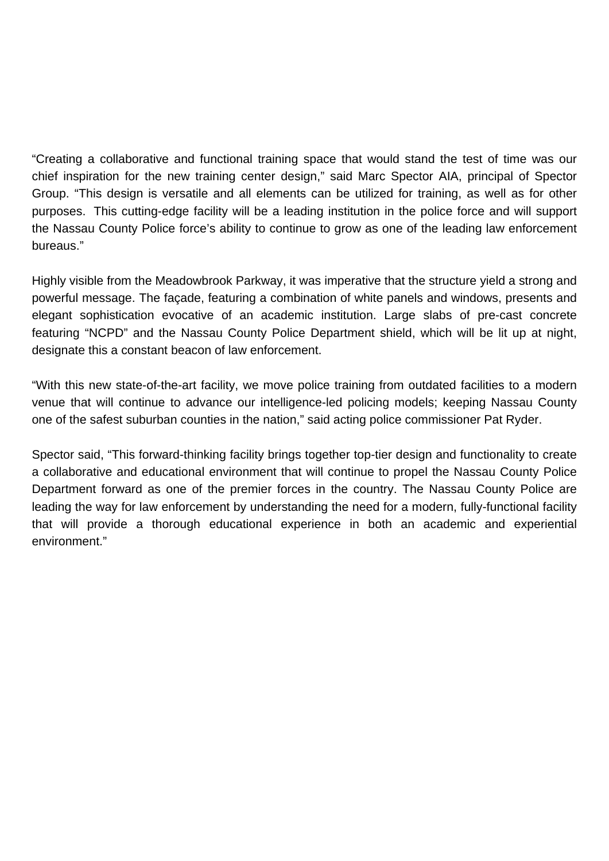"Creating a collaborative and functional training space that would stand the test of time was our chief inspiration for the new training center design," said Marc Spector AIA, principal of Spector Group. "This design is versatile and all elements can be utilized for training, as well as for other purposes. This cutting-edge facility will be a leading institution in the police force and will support the Nassau County Police force's ability to continue to grow as one of the leading law enforcement bureaus."

Highly visible from the Meadowbrook Parkway, it was imperative that the structure yield a strong and powerful message. The façade, featuring a combination of white panels and windows, presents and elegant sophistication evocative of an academic institution. Large slabs of pre-cast concrete featuring "NCPD" and the Nassau County Police Department shield, which will be lit up at night, designate this a constant beacon of law enforcement.

"With this new state-of-the-art facility, we move police training from outdated facilities to a modern venue that will continue to advance our intelligence-led policing models; keeping Nassau County one of the safest suburban counties in the nation," said acting police commissioner Pat Ryder.

Spector said, "This forward-thinking facility brings together top-tier design and functionality to create a collaborative and educational environment that will continue to propel the Nassau County Police Department forward as one of the premier forces in the country. The Nassau County Police are leading the way for law enforcement by understanding the need for a modern, fully-functional facility that will provide a thorough educational experience in both an academic and experiential environment."